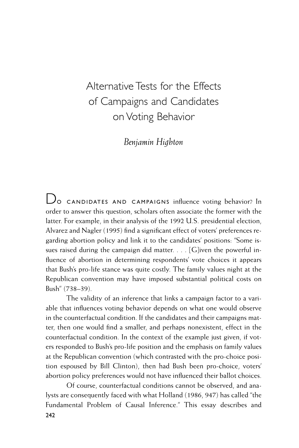Alternative Tests for the Effects of Campaigns and Candidates on Voting Behavior

*Benjamin Highton*

 $\Box$ <sup>o</sup> CANDIDATES AND CAMPAIGNS influence voting behavior? In order to answer this question, scholars often associate the former with the latter. For example, in their analysis of the 1992 U.S. presidential election, Alvarez and Nagler (1995) find a significant effect of voters' preferences regarding abortion policy and link it to the candidates' positions: "Some issues raised during the campaign did matter.  $\ldots$  [G]iven the powerful influence of abortion in determining respondents' vote choices it appears that Bush's pro-life stance was quite costly. The family values night at the Republican convention may have imposed substantial political costs on Bush" (738–39).

The validity of an inference that links a campaign factor to a variable that influences voting behavior depends on what one would observe in the counterfactual condition. If the candidates and their campaigns matter, then one would find a smaller, and perhaps nonexistent, effect in the counterfactual condition. In the context of the example just given, if voters responded to Bush's pro-life position and the emphasis on family values at the Republican convention (which contrasted with the pro-choice position espoused by Bill Clinton), then had Bush been pro-choice, voters' abortion policy preferences would not have influenced their ballot choices.

Of course, counterfactual conditions cannot be observed, and analysts are consequently faced with what Holland (1986, 947) has called "the Fundamental Problem of Causal Inference." This essay describes and 242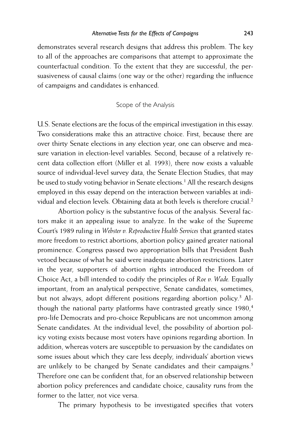demonstrates several research designs that address this problem. The key to all of the approaches are comparisons that attempt to approximate the counterfactual condition. To the extent that they are successful, the persuasiveness of causal claims (one way or the other) regarding the influence of campaigns and candidates is enhanced.

## Scope of the Analysis

U.S. Senate elections are the focus of the empirical investigation in this essay. Two considerations make this an attractive choice. First, because there are over thirty Senate elections in any election year, one can observe and measure variation in election-level variables. Second, because of a relatively recent data collection effort (Miller et al. 1993), there now exists a valuable source of individual-level survey data, the Senate Election Studies, that may be used to study voting behavior in Senate elections.<sup>1</sup> All the research designs employed in this essay depend on the interaction between variables at individual and election levels. Obtaining data at both levels is therefore crucial.<sup>2</sup>

Abortion policy is the substantive focus of the analysis. Several factors make it an appealing issue to analyze. In the wake of the Supreme Court's 1989 ruling in *Webster v. Reproductive Health Services* that granted states more freedom to restrict abortions, abortion policy gained greater national prominence. Congress passed two appropriation bills that President Bush vetoed because of what he said were inadequate abortion restrictions. Later in the year, supporters of abortion rights introduced the Freedom of Choice Act, a bill intended to codify the principles of *Roe v. Wade.* Equally important, from an analytical perspective, Senate candidates, sometimes, but not always, adopt different positions regarding abortion policy.3 Although the national party platforms have contrasted greatly since  $1980<sup>4</sup>$ pro-life Democrats and pro-choice Republicans are not uncommon among Senate candidates. At the individual level, the possibility of abortion policy voting exists because most voters have opinions regarding abortion. In addition, whereas voters are susceptible to persuasion by the candidates on some issues about which they care less deeply, individuals' abortion views are unlikely to be changed by Senate candidates and their campaigns.<sup>5</sup> Therefore one can be confident that, for an observed relationship between abortion policy preferences and candidate choice, causality runs from the former to the latter, not vice versa.

The primary hypothesis to be investigated specifies that voters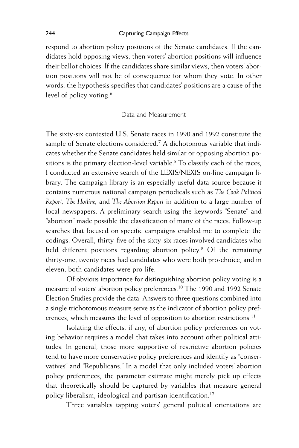respond to abortion policy positions of the Senate candidates. If the candidates hold opposing views, then voters' abortion positions will influence their ballot choices. If the candidates share similar views, then voters' abortion positions will not be of consequence for whom they vote. In other words, the hypothesis specifies that candidates' positions are a cause of the level of policy voting.<sup>6</sup>

#### Data and Measurement

The sixty-six contested U.S. Senate races in 1990 and 1992 constitute the sample of Senate elections considered.<sup>7</sup> A dichotomous variable that indicates whether the Senate candidates held similar or opposing abortion positions is the primary election-level variable.<sup>8</sup> To classify each of the races, I conducted an extensive search of the LEXIS/NEXIS on-line campaign library. The campaign library is an especially useful data source because it contains numerous national campaign periodicals such as *The Cook Political Report, The Hotline,* and *The Abortion Report* in addition to a large number of local newspapers. A preliminary search using the keywords "Senate" and "abortion" made possible the classification of many of the races. Follow-up searches that focused on specific campaigns enabled me to complete the codings. Overall, thirty-five of the sixty-six races involved candidates who held different positions regarding abortion policy.<sup>9</sup> Of the remaining thirty-one, twenty races had candidates who were both pro-choice, and in eleven, both candidates were pro-life.

Of obvious importance for distinguishing abortion policy voting is a measure of voters' abortion policy preferences.<sup>10</sup> The 1990 and 1992 Senate Election Studies provide the data. Answers to three questions combined into a single trichotomous measure serve as the indicator of abortion policy preferences, which measures the level of opposition to abortion restrictions.<sup>11</sup>

Isolating the effects, if any, of abortion policy preferences on voting behavior requires a model that takes into account other political attitudes. In general, those more supportive of restrictive abortion policies tend to have more conservative policy preferences and identify as "conservatives" and "Republicans." In a model that only included voters' abortion policy preferences, the parameter estimate might merely pick up effects that theoretically should be captured by variables that measure general policy liberalism, ideological and partisan identification.<sup>12</sup>

Three variables tapping voters' general political orientations are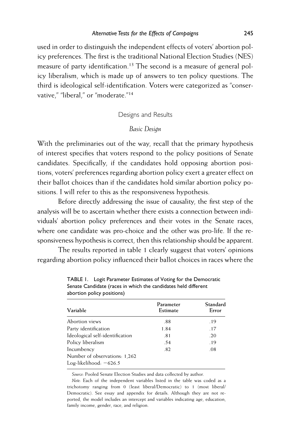used in order to distinguish the independent effects of voters' abortion policy preferences. The first is the traditional National Election Studies (NES) measure of party identification.<sup>13</sup> The second is a measure of general policy liberalism, which is made up of answers to ten policy questions. The third is ideological self-identification. Voters were categorized as "conservative," "liberal," or "moderate."14

Designs and Results

## *Basic Design*

With the preliminaries out of the way, recall that the primary hypothesis of interest specifies that voters respond to the policy positions of Senate candidates. Specifically, if the candidates hold opposing abortion positions, voters' preferences regarding abortion policy exert a greater effect on their ballot choices than if the candidates hold similar abortion policy positions. I will refer to this as the responsiveness hypothesis.

Before directly addressing the issue of causality, the first step of the analysis will be to ascertain whether there exists a connection between individuals' abortion policy preferences and their votes in the Senate races, where one candidate was pro-choice and the other was pro-life. If the responsiveness hypothesis is correct, then this relationship should be apparent.

The results reported in table 1 clearly suggest that voters' opinions regarding abortion policy influenced their ballot choices in races where the

| Variable                                                  | Parameter<br>Estimate | Standard<br>Error |
|-----------------------------------------------------------|-----------------------|-------------------|
| Abortion views                                            | .88                   | .19               |
| Party identification                                      | 1.84                  | .17               |
| Ideological self-identification                           | .81                   | .20               |
| Policy liberalism                                         | .54                   | .19               |
| Incumbency                                                | .82                   | .08               |
| Number of observations: 1,262<br>$Log-likelihood: -626.5$ |                       |                   |

TABLE 1. Logit Parameter Estimates of Voting for the Democratic Senate Candidate (races in which the candidates held different abortion policy positions)

*Source:* Pooled Senate Election Studies and data collected by author.

*Note:* Each of the independent variables listed in the table was coded as a trichotomy ranging from 0 (least liberal/Democratic) to 1 (most liberal/ Democratic). See essay and appendix for details. Although they are not reported, the model includes an intercept and variables indicating age, education, family income, gender, race, and religion.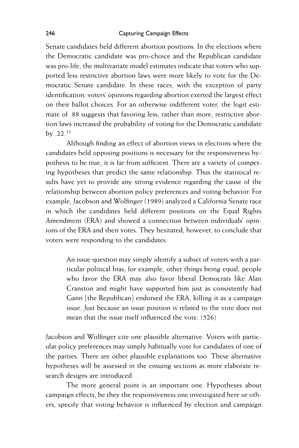Senate candidates held different abortion positions. In the elections where the Democratic candidate was pro-choice and the Republican candidate was pro-life, the multivariate model estimates indicate that voters who supported less restrictive abortion laws were more likely to vote for the Democratic Senate candidate. In these races, with the exception of party identification, voters' opinions regarding abortion exerted the largest effect on their ballot choices. For an otherwise indifferent voter, the logit estimate of .88 suggests that favoring less, rather than more, restrictive abortion laws increased the probability of voting for the Democratic candidate by .22.15

Although finding an effect of abortion views in elections where the candidates held opposing positions is necessary for the responsiveness hypothesis to be true, it is far from sufficient. There are a variety of competing hypotheses that predict the same relationship. Thus the statistical results have yet to provide any strong evidence regarding the cause of the relationship between abortion policy preferences and voting behavior. For example, Jacobson and Wolfinger (1989) analyzed a California Senate race in which the candidates held different positions on the Equal Rights Amendment (ERA) and showed a connection between individuals' opinions of the ERA and their votes. They hesitated, however, to conclude that voters were responding to the candidates.

An issue question may simply identify a subset of voters with a particular political bias; for example, other things being equal, people who favor the ERA may also favor liberal Democrats like Alan Cranston and might have supported him just as consistently had Gann [the Republican] endorsed the ERA, killing it as a campaign issue. Just because an issue position is related to the vote does not mean that the issue itself influenced the vote.  $(526)$ 

Jacobson and Wolfinger cite one plausible alternative. Voters with particular policy preferences may simply habitually vote for candidates of one of the parties. There are other plausible explanations too. These alternative hypotheses will be assessed in the ensuing sections as more elaborate research designs are introduced.

The more general point is an important one. Hypotheses about campaign effects, be they the responsiveness one investigated here or others, specify that voting behavior is influenced by election and campaign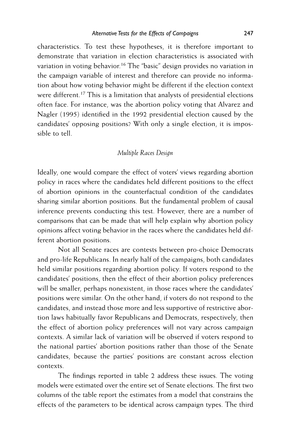characteristics. To test these hypotheses, it is therefore important to demonstrate that variation in election characteristics is associated with variation in voting behavior.<sup>16</sup> The "basic" design provides no variation in the campaign variable of interest and therefore can provide no information about how voting behavior might be different if the election context were different.<sup>17</sup> This is a limitation that analysts of presidential elections often face. For instance, was the abortion policy voting that Alvarez and Nagler (1995) identified in the 1992 presidential election caused by the candidates' opposing positions? With only a single election, it is impossible to tell.

# *Multiple Races Design*

Ideally, one would compare the effect of voters' views regarding abortion policy in races where the candidates held different positions to the effect of abortion opinions in the counterfactual condition of the candidates sharing similar abortion positions. But the fundamental problem of causal inference prevents conducting this test. However, there are a number of comparisons that can be made that will help explain why abortion policy opinions affect voting behavior in the races where the candidates held different abortion positions.

Not all Senate races are contests between pro-choice Democrats and pro-life Republicans. In nearly half of the campaigns, both candidates held similar positions regarding abortion policy. If voters respond to the candidates' positions, then the effect of their abortion policy preferences will be smaller, perhaps nonexistent, in those races where the candidates' positions were similar. On the other hand, if voters do not respond to the candidates, and instead those more and less supportive of restrictive abortion laws habitually favor Republicans and Democrats, respectively, then the effect of abortion policy preferences will not vary across campaign contexts. A similar lack of variation will be observed if voters respond to the national parties' abortion positions rather than those of the Senate candidates, because the parties' positions are constant across election contexts.

The findings reported in table 2 address these issues. The voting models were estimated over the entire set of Senate elections. The first two columns of the table report the estimates from a model that constrains the effects of the parameters to be identical across campaign types. The third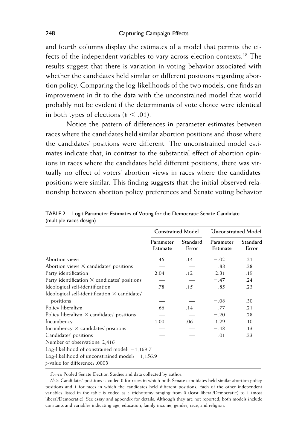and fourth columns display the estimates of a model that permits the effects of the independent variables to vary across election contexts.18 The results suggest that there is variation in voting behavior associated with whether the candidates held similar or different positions regarding abortion policy. Comparing the log-likelihoods of the two models, one finds an improvement in fit to the data with the unconstrained model that would probably not be evident if the determinants of vote choice were identical in both types of elections ( $p < .01$ ).

Notice the pattern of differences in parameter estimates between races where the candidates held similar abortion positions and those where the candidates' positions were different. The unconstrained model estimates indicate that, in contrast to the substantial effect of abortion opinions in races where the candidates held different positions, there was virtually no effect of voters' abortion views in races where the candidates' positions were similar. This finding suggests that the initial observed relationship between abortion policy preferences and Senate voting behavior

|                                                      | <b>Constrained Model</b> |                   | <b>Unconstrained Model</b> |                   |
|------------------------------------------------------|--------------------------|-------------------|----------------------------|-------------------|
|                                                      | Parameter<br>Estimate    | Standard<br>Error | Parameter<br>Estimate      | Standard<br>Error |
| Abortion views                                       | .46                      | .14               | $-.02$                     | .21               |
| Abortion views $\times$ candidates' positions        |                          |                   | .88                        | .28               |
| Party identification                                 | 2.04                     | .12               | 2.31                       | .19               |
| Party identification $\times$ candidates' positions  |                          |                   | $-.47$                     | .24               |
| Ideological self-identification                      | .78                      | .15               | .85                        | .23               |
| Ideological self-identification $\times$ candidates' |                          |                   |                            |                   |
| positions                                            |                          |                   | $-.08$                     | .30               |
| Policy liberalism                                    | .66                      | .14               | .77                        | .21               |
| Policy liberalism $\times$ candidates' positions     |                          |                   | $-.20$                     | .28               |
| Incumbency                                           | 1.00                     | .06               | 1.29                       | .10               |
| Incumbency $\times$ candidates' positions            |                          |                   | $-.48$                     | .13               |
| Candidates' positions                                |                          |                   | .01                        | .23               |
| Number of observations: 2,416                        |                          |                   |                            |                   |
| Log-likelihood of constrained model: $-1,169.7$      |                          |                   |                            |                   |
| Log-likelihood of unconstrained model: $-1,156.9$    |                          |                   |                            |                   |
| p-value for difference: .0003                        |                          |                   |                            |                   |

TABLE 2. Logit Parameter Estimates of Voting for the Democratic Senate Candidate (multiple races design)

*Source:* Pooled Senate Election Studies and data collected by author.

*Note:* Candidates' positions is coded 0 for races in which both Senate candidates held similar abortion policy positions and 1 for races in which the candidates held different positions. Each of the other independent variables listed in the table is coded as a trichotomy ranging from 0 (least liberal/Democratic) to 1 (most liberal/Democratic). See essay and appendix for details. Although they are not reported, both models include constants and variables indicating age, education, family income, gender, race, and religion.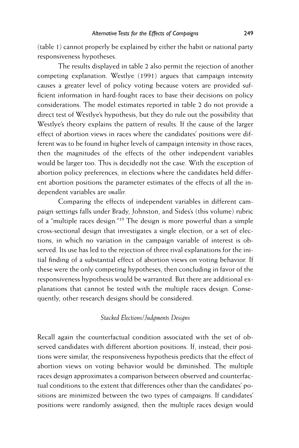(table 1) cannot properly be explained by either the habit or national party responsiveness hypotheses.

The results displayed in table 2 also permit the rejection of another competing explanation. Westlye (1991) argues that campaign intensity causes a greater level of policy voting because voters are provided sufficient information in hard-fought races to base their decisions on policy considerations. The model estimates reported in table 2 do not provide a direct test of Westlye's hypothesis, but they do rule out the possibility that Westlye's theory explains the pattern of results. If the cause of the larger effect of abortion views in races where the candidates' positions were different was to be found in higher levels of campaign intensity in those races, then the magnitudes of the effects of the other independent variables would be larger too. This is decidedly not the case. With the exception of abortion policy preferences, in elections where the candidates held different abortion positions the parameter estimates of the effects of all the independent variables are *smaller.*

Comparing the effects of independent variables in different campaign settings falls under Brady, Johnston, and Sides's (this volume) rubric of a "multiple races design."19 The design is more powerful than a simple cross-sectional design that investigates a single election, or a set of elections, in which no variation in the campaign variable of interest is observed. Its use has led to the rejection of three rival explanations for the initial finding of a substantial effect of abortion views on voting behavior. If these were the only competing hypotheses, then concluding in favor of the responsiveness hypothesis would be warranted. But there are additional explanations that cannot be tested with the multiple races design. Consequently, other research designs should be considered.

# *Stacked Elections/Judgments Designs*

Recall again the counterfactual condition associated with the set of observed candidates with different abortion positions. If, instead, their positions were similar, the responsiveness hypothesis predicts that the effect of abortion views on voting behavior would be diminished. The multiple races design approximates a comparison between observed and counterfactual conditions to the extent that differences other than the candidates' positions are minimized between the two types of campaigns. If candidates' positions were randomly assigned, then the multiple races design would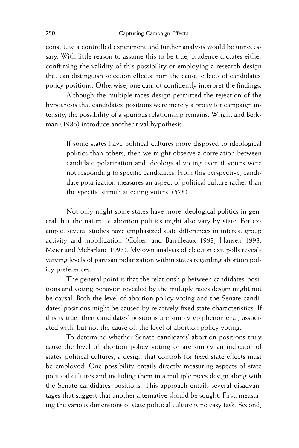constitute a controlled experiment and further analysis would be unnecessary. With little reason to assume this to be true, prudence dictates either confirming the validity of this possibility or employing a research design that can distinguish selection effects from the causal effects of candidates' policy positions. Otherwise, one cannot confidently interpret the findings.

Although the multiple races design permitted the rejection of the hypothesis that candidates' positions were merely a proxy for campaign intensity, the possibility of a spurious relationship remains. Wright and Berkman (1986) introduce another rival hypothesis.

If some states have political cultures more disposed to ideological politics than others, then we might observe a correlation between candidate polarization and ideological voting even if voters were not responding to specific candidates. From this perspective, candidate polarization measures an aspect of political culture rather than the specific stimuli affecting voters.  $(578)$ 

Not only might some states have more ideological politics in general, but the nature of abortion politics might also vary by state. For example, several studies have emphasized state differences in interest group activity and mobilization (Cohen and Barrilleaux 1993; Hansen 1993; Meier and McFarlane 1993). My own analysis of election exit polls reveals varying levels of partisan polarization within states regarding abortion policy preferences.

The general point is that the relationship between candidates' positions and voting behavior revealed by the multiple races design might not be causal. Both the level of abortion policy voting and the Senate candidates' positions might be caused by relatively fixed state characteristics. If this is true, then candidates' positions are simply epiphenomenal, associated with, but not the cause of, the level of abortion policy voting.

To determine whether Senate candidates' abortion positions truly cause the level of abortion policy voting or are simply an indicator of states' political cultures, a design that controls for fixed state effects must be employed. One possibility entails directly measuring aspects of state political cultures and including them in a multiple races design along with the Senate candidates' positions. This approach entails several disadvantages that suggest that another alternative should be sought. First, measuring the various dimensions of state political culture is no easy task. Second,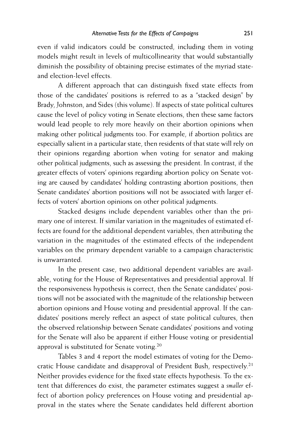even if valid indicators could be constructed, including them in voting models might result in levels of multicollinearity that would substantially diminish the possibility of obtaining precise estimates of the myriad stateand election-level effects.

A different approach that can distinguish fixed state effects from those of the candidates' positions is referred to as a "stacked design" by Brady, Johnston, and Sides (this volume). If aspects of state political cultures cause the level of policy voting in Senate elections, then these same factors would lead people to rely more heavily on their abortion opinions when making other political judgments too. For example, if abortion politics are especially salient in a particular state, then residents of that state will rely on their opinions regarding abortion when voting for senator and making other political judgments, such as assessing the president. In contrast, if the greater effects of voters' opinions regarding abortion policy on Senate voting are caused by candidates' holding contrasting abortion positions, then Senate candidates' abortion positions will not be associated with larger effects of voters' abortion opinions on other political judgments.

Stacked designs include dependent variables other than the primary one of interest. If similar variation in the magnitudes of estimated effects are found for the additional dependent variables, then attributing the variation in the magnitudes of the estimated effects of the independent variables on the primary dependent variable to a campaign characteristic is unwarranted.

In the present case, two additional dependent variables are available, voting for the House of Representatives and presidential approval. If the responsiveness hypothesis is correct, then the Senate candidates' positions will not be associated with the magnitude of the relationship between abortion opinions and House voting and presidential approval. If the candidates' positions merely reflect an aspect of state political cultures, then the observed relationship between Senate candidates' positions and voting for the Senate will also be apparent if either House voting or presidential approval is substituted for Senate voting.<sup>20</sup>

Tables 3 and 4 report the model estimates of voting for the Democratic House candidate and disapproval of President Bush, respectively.21 Neither provides evidence for the fixed state effects hypothesis. To the extent that differences do exist, the parameter estimates suggest a *smaller* effect of abortion policy preferences on House voting and presidential approval in the states where the Senate candidates held different abortion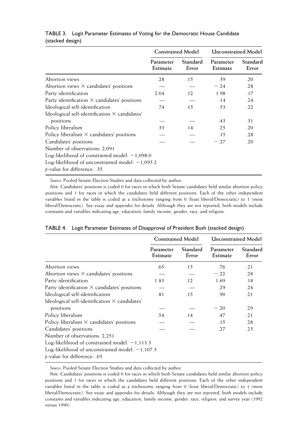|                                                      | <b>Constrained Model</b> |                   | <b>Unconstrained Model</b> |                   |
|------------------------------------------------------|--------------------------|-------------------|----------------------------|-------------------|
|                                                      | Parameter<br>Estimate    | Standard<br>Error | Parameter<br>Estimate      | Standard<br>Error |
| Abortion views                                       | .28                      | .15               | .39                        | .20               |
| Abortion views $\times$ candidates' positions        |                          |                   | $-.24$                     | .28               |
| Party identification                                 | 2.04                     | .12               | 1.98                       | .17               |
| Party identification $\times$ candidates' positions  |                          |                   | .14                        | .24               |
| Ideological self-identification                      | .74                      | .15               | .53                        | .22               |
| Ideological self-identification $\times$ candidates' |                          |                   |                            |                   |
| positions                                            |                          |                   | .43                        | .31               |
| Policy liberalism                                    | .33                      | .14               | .25                        | .20               |
| Policy liberalism $\times$ candidates' positions     |                          |                   | .15                        | .28               |
| Candidates' positions                                |                          |                   | $-.27$                     | .20               |
| Number of observations: 2,091                        |                          |                   |                            |                   |
| Log-likelihood of constrained model: $-1,098.0$      |                          |                   |                            |                   |
| Log-likelihood of unconstrained model: $-1,095.2$    |                          |                   |                            |                   |
| p-value for difference: .35                          |                          |                   |                            |                   |

#### TABLE 3. Logit Parameter Estimates of Voting for the Democratic House Candidate (stacked design)

*Source:* Pooled Senate Election Studies and data collected by author.

*Note:* Candidates' positions is coded 0 for races in which both Senate candidates held similar abortion policy positions and 1 for races in which the candidates held different positions. Each of the other independent variables listed in the table is coded as a trichotomy ranging from 0 (least liberal/Democratic) to 1 (most liberal/Democratic). See essay and appendix for details. Although they are not reported, both models include constants and variables indicating age, education, family income, gender, race, and religion.

|  | TABLE 4. Logit Parameter Estimates of Disapproval of President Bush (stacked design) |  |  |  |  |  |  |
|--|--------------------------------------------------------------------------------------|--|--|--|--|--|--|
|--|--------------------------------------------------------------------------------------|--|--|--|--|--|--|

|                                                                   | <b>Constrained Model</b> |                   | <b>Unconstrained Model</b> |                   |
|-------------------------------------------------------------------|--------------------------|-------------------|----------------------------|-------------------|
|                                                                   | Parameter<br>Estimate    | Standard<br>Error | Parameter<br>Estimate      | Standard<br>Error |
| Abortion views                                                    | .65                      | .15               | .76                        | .21               |
| Abortion views $\times$ candidates' positions                     |                          |                   | $-.22$                     | .28               |
| Party identification                                              | 1.83                     | .12               | 1.69                       | .18               |
| Party identification $\times$ candidates' positions               |                          |                   | .29                        | .24               |
| Ideological self-identification                                   | .81                      | .15               | .90                        | .21               |
| Ideological self-identification $\times$ candidates'<br>positions |                          |                   | $-.20$                     | .29               |
| Policy liberalism                                                 | .54                      | .14               | .47                        | .21               |
| Policy liberalism $\times$ candidates' positions                  |                          |                   | .15                        | .28               |
| Candidates' positions                                             |                          |                   | .27                        | .23               |
| Number of observations: 2,251                                     |                          |                   |                            |                   |
| Log-likelihood of constrained model: $-1,113.3$                   |                          |                   |                            |                   |
| Log-likelihood of unconstrained model: $-1,107.3$                 |                          |                   |                            |                   |
| p-value for difference: .03                                       |                          |                   |                            |                   |

*Source:* Pooled Senate Election Studies and data collected by author.

*Note:* Candidates' positions is coded 0 for races in which both Senate candidates held similar abortion policy positions and 1 for races in which the candidates held different positions. Each of the other independent variables listed in the table is coded as a trichotomy ranging from 0 (least liberal/Democratic) to 1 (most liberal/Democratic). See essay and appendix for details. Although they are not reported, both models include constants and variables indicating age, education, family income, gender, race, religion, and survey year (1992 versus 1990).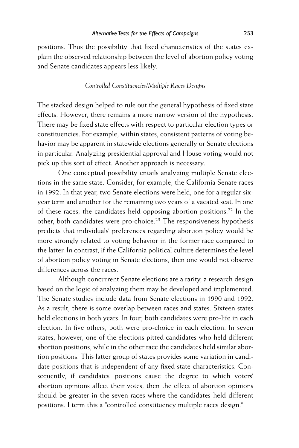positions. Thus the possibility that fixed characteristics of the states explain the observed relationship between the level of abortion policy voting and Senate candidates appears less likely.

## *Controlled Constituencies/Multiple Races Designs*

The stacked design helped to rule out the general hypothesis of fixed state effects. However, there remains a more narrow version of the hypothesis. There may be fixed state effects with respect to particular election types or constituencies. For example, within states, consistent patterns of voting behavior may be apparent in statewide elections generally or Senate elections in particular. Analyzing presidential approval and House voting would not pick up this sort of effect. Another approach is necessary.

One conceptual possibility entails analyzing multiple Senate elections in the same state. Consider, for example, the California Senate races in 1992. In that year, two Senate elections were held, one for a regular sixyear term and another for the remaining two years of a vacated seat. In one of these races, the candidates held opposing abortion positions.<sup>22</sup> In the other, both candidates were pro-choice.<sup>23</sup> The responsiveness hypothesis predicts that individuals' preferences regarding abortion policy would be more strongly related to voting behavior in the former race compared to the latter. In contrast, if the California political culture determines the level of abortion policy voting in Senate elections, then one would not observe differences across the races.

Although concurrent Senate elections are a rarity, a research design based on the logic of analyzing them may be developed and implemented. The Senate studies include data from Senate elections in 1990 and 1992. As a result, there is some overlap between races and states. Sixteen states held elections in both years. In four, both candidates were pro-life in each election. In five others, both were pro-choice in each election. In seven states, however, one of the elections pitted candidates who held different abortion positions, while in the other race the candidates held similar abortion positions. This latter group of states provides some variation in candidate positions that is independent of any fixed state characteristics. Consequently, if candidates' positions cause the degree to which voters' abortion opinions affect their votes, then the effect of abortion opinions should be greater in the seven races where the candidates held different positions. I term this a "controlled constituency multiple races design."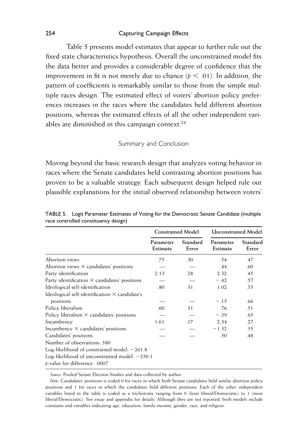Table 5 presents model estimates that appear to further rule out the fixed state characteristics hypothesis. Overall the unconstrained model fits the data better and provides a considerable degree of confidence that the improvement in fit is not merely due to chance ( $p < .01$ ). In addition, the pattern of coefficients is remarkably similar to those from the simple multiple races design. The estimated effect of voters' abortion policy preferences increases in the races where the candidates held different abortion positions, whereas the estimated effects of all the other independent variables are diminished in this campaign context.<sup>24</sup>

## Summary and Conclusion

Moving beyond the basic research design that analyzes voting behavior in races where the Senate candidates held contrasting abortion positions has proven to be a valuable strategy. Each subsequent design helped rule out plausible explanations for the initial observed relationship between voters'

|                                                                                  | <b>Constrained Model</b> |                   | <b>Unconstrained Model</b> |                   |
|----------------------------------------------------------------------------------|--------------------------|-------------------|----------------------------|-------------------|
|                                                                                  | Parameter<br>Estimate    | Standard<br>Error | Parameter<br>Estimate      | Standard<br>Error |
| Abortion views                                                                   | .75                      | .30               | .54                        | .47               |
| Abortion views $\times$ candidates' positions                                    |                          |                   | .44                        | .60               |
| Party identification                                                             | 2.13                     | .28               | 2.32                       | .45               |
| Party identification $\times$ candidates' positions                              |                          |                   | $-.42$                     | .57               |
| Ideological self-identification                                                  | .80                      | .31               | 1.02                       | .53               |
| Ideological self-identification $\times$ candidate's<br>positions                |                          |                   | $-.15$                     | .66               |
| Policy liberalism                                                                | .60                      | .31               | .76                        | .51               |
| Policy liberalism $\times$ candidates' positions                                 |                          |                   | $-.39$                     | .65               |
| Incumbency                                                                       | 1.61                     | .17               | 2.34                       | .27               |
| Incumbency $\times$ candidates' positions                                        |                          |                   | $-1.32$                    | .35               |
| Candidates' positions                                                            |                          |                   | .50                        | .48               |
| Number of observations: 580                                                      |                          |                   |                            |                   |
| Log-likelihood of constrained model: $-261.8$                                    |                          |                   |                            |                   |
| Log-likelihood of unconstrained model: $-250.1$<br>p-value for difference: .0007 |                          |                   |                            |                   |

TABLE 5. Logit Parameter Estimates of Voting for the Democratic Senate Candidate (multiple race controlled constituency design)

*Source:* Pooled Senate Election Studies and data collected by author.

*Note:* Candidates' positions is coded 0 for races in which both Senate candidates held similar abortion policy positions and 1 for races in which the candidates held different positions. Each of the other independent variables listed in the table is coded as a trichotomy ranging from 0 (least liberal/Democratic) to 1 (most liberal/Democratic). See essay and appendix for details. Although they are not reported, both models include constants and variables indicating age, education, family income, gender, race, and religion.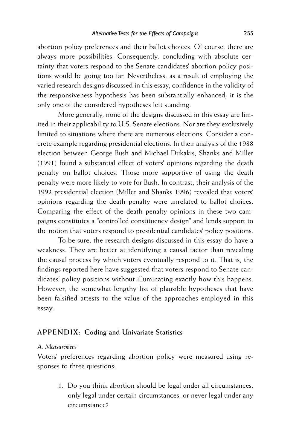abortion policy preferences and their ballot choices. Of course, there are always more possibilities. Consequently, concluding with absolute certainty that voters respond to the Senate candidates' abortion policy positions would be going too far. Nevertheless, as a result of employing the varied research designs discussed in this essay, confidence in the validity of the responsiveness hypothesis has been substantially enhanced; it is the only one of the considered hypotheses left standing.

More generally, none of the designs discussed in this essay are limited in their applicability to U.S. Senate elections. Nor are they exclusively limited to situations where there are numerous elections. Consider a concrete example regarding presidential elections. In their analysis of the 1988 election between George Bush and Michael Dukakis, Shanks and Miller (1991) found a substantial effect of voters' opinions regarding the death penalty on ballot choices. Those more supportive of using the death penalty were more likely to vote for Bush. In contrast, their analysis of the 1992 presidential election (Miller and Shanks 1996) revealed that voters' opinions regarding the death penalty were unrelated to ballot choices. Comparing the effect of the death penalty opinions in these two campaigns constitutes a "controlled constituency design" and lends support to the notion that voters respond to presidential candidates' policy positions.

To be sure, the research designs discussed in this essay do have a weakness. They are better at identifying a causal factor than revealing the causal process by which voters eventually respond to it. That is, the findings reported here have suggested that voters respond to Senate candidates' policy positions without illuminating exactly how this happens. However, the somewhat lengthy list of plausible hypotheses that have been falsified attests to the value of the approaches employed in this essay.

# **APPENDIX: Coding and Univariate Statistics**

## *A. Measurement*

Voters' preferences regarding abortion policy were measured using responses to three questions:

1. Do you think abortion should be legal under all circumstances, only legal under certain circumstances, or never legal under any circumstance?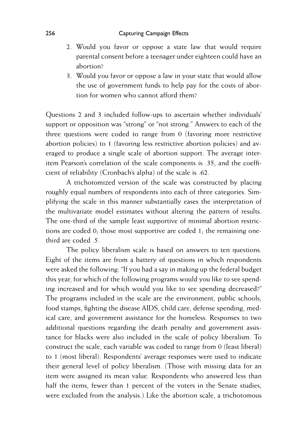- 2. Would you favor or oppose a state law that would require parental consent before a teenager under eighteen could have an abortion?
- 3. Would you favor or oppose a law in your state that would allow the use of government funds to help pay for the costs of abortion for women who cannot afford them?

Questions 2 and 3 included follow-ups to ascertain whether individuals' support or opposition was "strong" or "not strong." Answers to each of the three questions were coded to range from 0 (favoring more restrictive abortion policies) to 1 (favoring less restrictive abortion policies) and averaged to produce a single scale of abortion support. The average interitem Pearson's correlation of the scale components is .35, and the coefficient of reliability (Cronbach's alpha) of the scale is .62.

A trichotomized version of the scale was constructed by placing roughly equal numbers of respondents into each of three categories. Simplifying the scale in this manner substantially eases the interpretation of the multivariate model estimates without altering the pattern of results. The one-third of the sample least supportive of minimal abortion restrictions are coded 0; those most supportive are coded 1; the remaining onethird are coded 5

The policy liberalism scale is based on answers to ten questions. Eight of the items are from a battery of questions in which respondents were asked the following: "If you had a say in making up the federal budget this year, for which of the following programs would you like to see spending increased and for which would you like to see spending decreased?" The programs included in the scale are the environment, public schools, food stamps, fighting the disease AIDS, child care, defense spending, medical care, and government assistance for the homeless. Responses to two additional questions regarding the death penalty and government assistance for blacks were also included in the scale of policy liberalism. To construct the scale, each variable was coded to range from 0 (least liberal) to 1 (most liberal). Respondents' average responses were used to indicate their general level of policy liberalism. (Those with missing data for an item were assigned its mean value. Respondents who answered less than half the items, fewer than 1 percent of the voters in the Senate studies, were excluded from the analysis.) Like the abortion scale, a trichotomous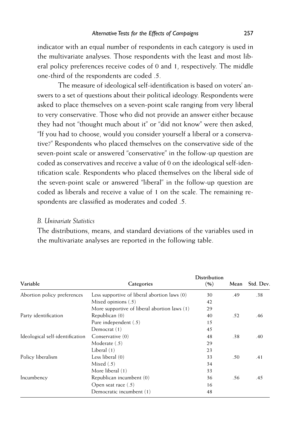indicator with an equal number of respondents in each category is used in the multivariate analyses. Those respondents with the least and most liberal policy preferences receive codes of 0 and 1, respectively. The middle one-third of the respondents are coded .5.

The measure of ideological self-identification is based on voters' answers to a set of questions about their political ideology. Respondents were asked to place themselves on a seven-point scale ranging from very liberal to very conservative. Those who did not provide an answer either because they had not "thought much about it" or "did not know" were then asked, "If you had to choose, would you consider yourself a liberal or a conservative?" Respondents who placed themselves on the conservative side of the seven-point scale or answered "conservative" in the follow-up question are coded as conservatives and receive a value of 0 on the ideological self-identification scale. Respondents who placed themselves on the liberal side of the seven-point scale or answered "liberal" in the follow-up question are coded as liberals and receive a value of 1 on the scale. The remaining respondents are classified as moderates and coded .5.

# *B. Univariate Statistics*

The distributions, means, and standard deviations of the variables used in the multivariate analyses are reported in the following table.

| Variable                        | Categories                                     | Distribution<br>(9) | Mean | Std. Dev. |
|---------------------------------|------------------------------------------------|---------------------|------|-----------|
| Abortion policy preferences     | Less supportive of liberal abortion laws $(0)$ | 30                  | .49  | .38       |
|                                 | Mixed opinions $(.5)$                          | 42                  |      |           |
|                                 | More supportive of liberal abortion laws (1)   | 29                  |      |           |
| Party identification            | Republican (0)                                 | 40                  | .52  | .46       |
|                                 | Pure independent (.5)                          | 15                  |      |           |
|                                 | Democrat (1)                                   | 45                  |      |           |
| Ideological self-identification | Conservative $(0)$                             | 48                  | .38  | .40       |
|                                 | Moderate $(.5)$                                | 29                  |      |           |
|                                 | Liberal $(1)$                                  | 23                  |      |           |
| Policy liberalism               | Less liberal (0)                               | 33                  | .50  | .41       |
|                                 | Mixed $(.5)$                                   | 34                  |      |           |
|                                 | More liberal (1)                               | 33                  |      |           |
| Incumbency                      | Republican incumbent (0)                       | 36                  | .56  | .45       |
|                                 | Open seat race $(.5)$                          | 16                  |      |           |
|                                 | Democratic incumbent (1)                       | 48                  |      |           |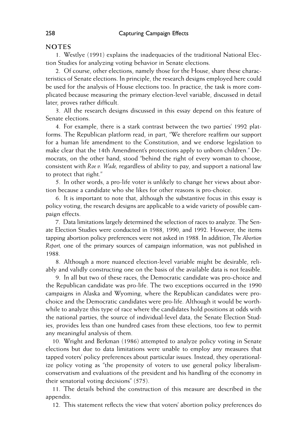#### **NOTES**

1. Westlye (1991) explains the inadequacies of the traditional National Election Studies for analyzing voting behavior in Senate elections.

2. Of course, other elections, namely those for the House, share these characteristics of Senate elections. In principle, the research designs employed here could be used for the analysis of House elections too. In practice, the task is more complicated because measuring the primary election-level variable, discussed in detail later, proves rather difficult.

3. All the research designs discussed in this essay depend on this feature of Senate elections.

4. For example, there is a stark contrast between the two parties' 1992 platforms. The Republican platform read, in part, "We therefore reaffirm our support for a human life amendment to the Constitution, and we endorse legislation to make clear that the 14th Amendment's protections apply to unborn children." Democrats, on the other hand, stood "behind the right of every woman to choose, consistent with *Roe v. Wade,* regardless of ability to pay, and support a national law to protect that right."

5. In other words, a pro-life voter is unlikely to change her views about abortion because a candidate who she likes for other reasons is pro-choice.

6. It is important to note that, although the substantive focus in this essay is policy voting, the research designs are applicable to a wide variety of possible campaign effects.

7. Data limitations largely determined the selection of races to analyze. The Senate Election Studies were conducted in 1988, 1990, and 1992. However, the items tapping abortion policy preferences were not asked in 1988. In addition, *The Abortion Report,* one of the primary sources of campaign information, was not published in 1988.

8. Although a more nuanced election-level variable might be desirable, reliably and validly constructing one on the basis of the available data is not feasible.

9. In all but two of these races, the Democratic candidate was pro-choice and the Republican candidate was pro-life. The two exceptions occurred in the 1990 campaigns in Alaska and Wyoming, where the Republican candidates were prochoice and the Democratic candidates were pro-life. Although it would be worthwhile to analyze this type of race where the candidates hold positions at odds with the national parties, the source of individual-level data, the Senate Election Studies, provides less than one hundred cases from these elections, too few to permit any meaningful analysis of them.

10. Wright and Berkman (1986) attempted to analyze policy voting in Senate elections but due to data limitations were unable to employ any measures that tapped voters' policy preferences about particular issues. Instead, they operationalize policy voting as "the propensity of voters to use general policy liberalismconservatism and evaluations of the president and his handling of the economy in their senatorial voting decisions" (575).

11. The details behind the construction of this measure are described in the appendix.

12. This statement reBects the view that voters' abortion policy preferences do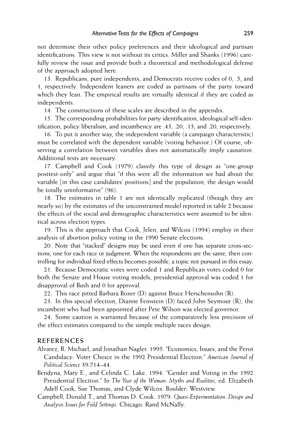not determine their other policy preferences and their ideological and partisan identifications. This view is not without its critics. Miller and Shanks (1996) carefully review the issue and provide both a theoretical and methodological defense of the approach adopted here.

13. Republicans, pure independents, and Democrats receive codes of 0, .5, and 1, respectively. Independent leaners are coded as partisans of the party toward which they lean. The empirical results are virtually identical if they are coded as independents.

14. The constructions of these scales are described in the appendix.

15. The corresponding probabilities for party identification, ideological self-identification, policy liberalism, and incumbency are  $.43$ ,  $.20$ ,  $.13$ , and  $.20$ , respectively.

16. To put it another way, the independent variable (a campaign characteristic) must be correlated with the dependent variable (voting behavior.) Of course, observing a correlation between variables does not automatically imply causation. Additional tests are necessary.

17. Campbell and Cook (1979) classify this type of design as "one-group posttest-only" and argue that "if this were all the information we had about the variable [in this case candidates' positions] and the population, the design would be totally uninformative" (96).

18. The estimates in table 1 are not identically replicated (though they are nearly so) by the estimates of the unconstrained model reported in table 2 because the effects of the social and demographic characteristics were assumed to be identical across election types.

19. This is the approach that Cook, Jelen, and Wilcox (1994) employ in their analysis of abortion policy voting in the 1990 Senate elections.

20. Note that "stacked" designs may be used even if one has separate cross-sections, one for each race or judgment. When the respondents are the same, then controlling for individual fixed effects becomes possible, a topic not pursued in this essay.

21. Because Democratic votes were coded 1 and Republican votes coded 0 for both the Senate and House voting models, presidential approval was coded 1 for disapproval of Bush and 0 for approval.

22. This race pitted Barbara Boxer (D) against Bruce Herschensohn (R).

23. In this special election, Dianne Feinstein (D) faced John Seymour (R), the incumbent who had been appointed after Pete Wilson was elected governor.

24. Some caution is warranted because of the comparatively less precision of the effect estimates compared to the simple multiple races design.

#### **REFERENCES**

- Alvarez, R. Michael, and Jonathan Nagler. 1995. "Economics, Issues, and the Perot Candidacy: Voter Choice in the 1992 Presidential Election." *American Journal of Political Science* 39:714–44.
- Bendyna, Mary E., and Celinda C. Lake. 1994. "Gender and Voting in the 1992 Presidential Election." In *The Year of the Woman: Myths and Realities,* ed. Elizabeth Adell Cook, Sue Thomas, and Clyde Wilcox. Boulder: Westview.
- Campbell, Donald T., and Thomas D. Cook. 1979. *Quasi-Experimentation: Design and Analysis Issues for Field Settings.* Chicago: Rand McNally.